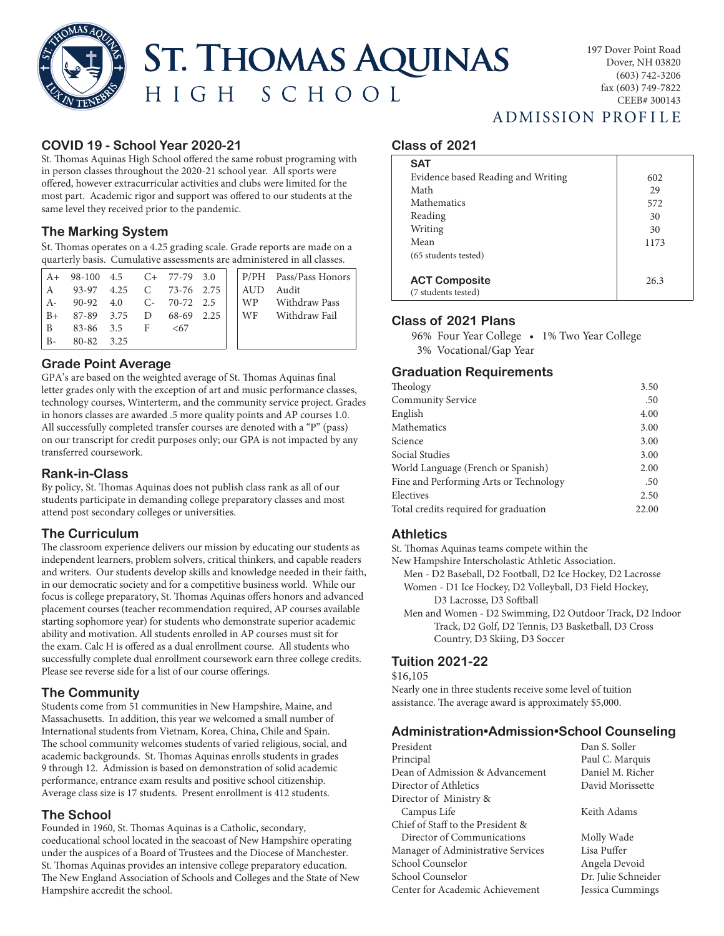**ST. THOMAS AQUINAS** HIGH SCHOOL

# **COVID 19 - School Year 2020-21**

St. Thomas Aquinas High School offered the same robust programing with in person classes throughout the 2020-21 school year. All sports were offered, however extracurricular activities and clubs were limited for the most part. Academic rigor and support was offered to our students at the same level they received prior to the pandemic.

#### **The Marking System**

St. Thomas operates on a 4.25 grading scale. Grade reports are made on a quarterly basis. Cumulative assessments are administered in all classes.

|       | $A+98-100$ 4.5 $C+77-79$ 3.0 |  |     |  |     | P/PH Pass/Pass Honors |
|-------|------------------------------|--|-----|--|-----|-----------------------|
| A     | 93-97 4.25 C 73-76 2.75      |  |     |  | AUD | Audit                 |
| . A-  | 90-92 4.0 C- 70-72 2.5       |  |     |  |     | WP Withdraw Pass      |
| $B+$  | 87-89 3.75 D 68-69 2.25      |  |     |  |     | WF Withdraw Fail      |
| . B   | 83-86 3.5 F                  |  | <67 |  |     |                       |
| $B -$ | 80-82 3.25                   |  |     |  |     |                       |

# **Grade Point Average**

GPA's are based on the weighted average of St. Thomas Aquinas final letter grades only with the exception of art and music performance classes, technology courses, Winterterm, and the community service project. Grades in honors classes are awarded .5 more quality points and AP courses 1.0. All successfully completed transfer courses are denoted with a "P" (pass) on our transcript for credit purposes only; our GPA is not impacted by any transferred coursework.

#### **Rank-in-Class**

By policy, St. Thomas Aquinas does not publish class rank as all of our students participate in demanding college preparatory classes and most attend post secondary colleges or universities.

# **The Curriculum**

The classroom experience delivers our mission by educating our students as independent learners, problem solvers, critical thinkers, and capable readers and writers. Our students develop skills and knowledge needed in their faith, in our democratic society and for a competitive business world. While our focus is college preparatory, St. Thomas Aquinas offers honors and advanced placement courses (teacher recommendation required, AP courses available starting sophomore year) for students who demonstrate superior academic ability and motivation. All students enrolled in AP courses must sit for the exam. Calc H is offered as a dual enrollment course. All students who successfully complete dual enrollment coursework earn three college credits. Please see reverse side for a list of our course offerings.

# **The Community**

Students come from 51 communities in New Hampshire, Maine, and Massachusetts. In addition, this year we welcomed a small number of International students from Vietnam, Korea, China, Chile and Spain. The school community welcomes students of varied religious, social, and academic backgrounds. St. Thomas Aquinas enrolls students in grades 9 through 12. Admission is based on demonstration of solid academic performance, entrance exam results and positive school citizenship. Average class size is 17 students. Present enrollment is 412 students.

# **The School**

Founded in 1960, St. Thomas Aquinas is a Catholic, secondary, coeducational school located in the seacoast of New Hampshire operating under the auspices of a Board of Trustees and the Diocese of Manchester. St. Thomas Aquinas provides an intensive college preparatory education. The New England Association of Schools and Colleges and the State of New Hampshire accredit the school.

# ADMISSION PROFILE

#### **Class of 2021**

| <b>SAT</b>                                  |      |
|---------------------------------------------|------|
| Evidence based Reading and Writing          | 602  |
| Math                                        | 29   |
| <b>Mathematics</b>                          | 572  |
| Reading                                     | 30   |
| Writing                                     | 30   |
| Mean                                        | 1173 |
| (65 students tested)                        |      |
| <b>ACT Composite</b><br>(7 students tested) | 26.3 |

# **Class of 2021 Plans**

96% Four Year College • 1% Two Year College 3% Vocational/Gap Year

# **Graduation Requirements**

| Theology                               | 3.50  |
|----------------------------------------|-------|
| <b>Community Service</b>               | .50   |
| English                                | 4.00  |
| Mathematics                            | 3.00  |
| Science                                | 3.00  |
| Social Studies                         | 3.00  |
| World Language (French or Spanish)     | 2.00  |
| Fine and Performing Arts or Technology | .50   |
| Electives                              | 2.50  |
| Total credits required for graduation  | 22.00 |

# **Athletics**

St. Thomas Aquinas teams compete within the New Hampshire Interscholastic Athletic Association.

 Men - D2 Baseball, D2 Football, D2 Ice Hockey, D2 Lacrosse Women - D1 Ice Hockey, D2 Volleyball, D3 Field Hockey, D3 Lacrosse, D3 Softball

 Men and Women - D2 Swimming, D2 Outdoor Track, D2 Indoor Track, D2 Golf, D2 Tennis, D3 Basketball, D3 Cross Country, D3 Skiing, D3 Soccer

#### **Tuition 2021-22**

\$16,105

Nearly one in three students receive some level of tuition assistance. The average award is approximately \$5,000.

#### **Administration•Admission•School Counseling**

| President                          | Dan S. Soller       |
|------------------------------------|---------------------|
| Principal                          | Paul C. Marquis     |
| Dean of Admission & Advancement    | Daniel M. Richer    |
| Director of Athletics              | David Morissette    |
| Director of Ministry &             |                     |
| Campus Life                        | Keith Adams         |
| Chief of Staff to the President &  |                     |
| Director of Communications         | Molly Wade          |
| Manager of Administrative Services | Lisa Puffer         |
| School Counselor                   | Angela Devoid       |
| School Counselor                   | Dr. Julie Schneider |
| Center for Academic Achievement    | Jessica Cummings    |
|                                    |                     |